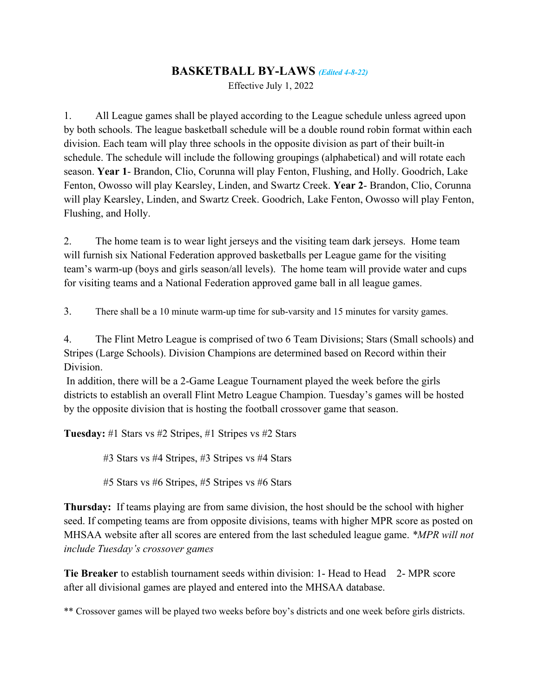## **BASKETBALL BY-LAWS** *(Edited 4-8-22)*

Effective July 1, 2022

1. All League games shall be played according to the League schedule unless agreed upon by both schools. The league basketball schedule will be a double round robin format within each division. Each team will play three schools in the opposite division as part of their built-in schedule. The schedule will include the following groupings (alphabetical) and will rotate each season. **Year 1**- Brandon, Clio, Corunna will play Fenton, Flushing, and Holly. Goodrich, Lake Fenton, Owosso will play Kearsley, Linden, and Swartz Creek. **Year 2**- Brandon, Clio, Corunna will play Kearsley, Linden, and Swartz Creek. Goodrich, Lake Fenton, Owosso will play Fenton, Flushing, and Holly.

2. The home team is to wear light jerseys and the visiting team dark jerseys. Home team will furnish six National Federation approved basketballs per League game for the visiting team's warm-up (boys and girls season/all levels). The home team will provide water and cups for visiting teams and a National Federation approved game ball in all league games.

3. There shall be a 10 minute warm-up time for sub-varsity and 15 minutes for varsity games.

4. The Flint Metro League is comprised of two 6 Team Divisions; Stars (Small schools) and Stripes (Large Schools). Division Champions are determined based on Record within their Division.

In addition, there will be a 2-Game League Tournament played the week before the girls districts to establish an overall Flint Metro League Champion. Tuesday's games will be hosted by the opposite division that is hosting the football crossover game that season.

**Tuesday:** #1 Stars vs #2 Stripes, #1 Stripes vs #2 Stars

#3 Stars vs #4 Stripes, #3 Stripes vs #4 Stars

#5 Stars vs #6 Stripes, #5 Stripes vs #6 Stars

**Thursday:** If teams playing are from same division, the host should be the school with higher seed. If competing teams are from opposite divisions, teams with higher MPR score as posted on MHSAA website after all scores are entered from the last scheduled league game. *\*MPR will not include Tuesday's crossover games*

**Tie Breaker** to establish tournament seeds within division: 1- Head to Head 2- MPR score after all divisional games are played and entered into the MHSAA database.

\*\* Crossover games will be played two weeks before boy's districts and one week before girls districts.